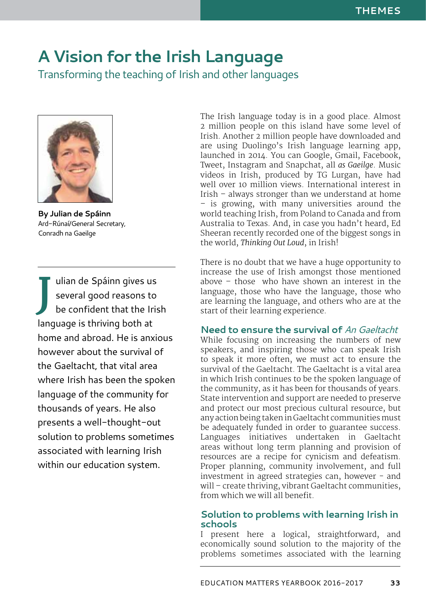# **A Vision for the Irish Language**

Transforming the teaching of Irish and other languages



**By Julian de Spáinn** Ard-Rúnaí/General Secretary, Conradh na Gaeilge

**J** ulian de Spáinn gives us several good reasons to be confident that the Irish language is thriving both at home and abroad. He is anxious however about the survival of the Gaeltacht, that vital area where Irish has been the spoken language of the community for thousands of years. He also presents a well-thought-out solution to problems sometimes associated with learning Irish within our education system.

The Irish language today is in a good place. Almost 2 million people on this island have some level of Irish. Another 2 million people have downloaded and are using Duolingo's Irish language learning app, launched in 2014. You can Google, Gmail, Facebook, Tweet, Instagram and Snapchat, all *as Gaeilge*. Music videos in Irish, produced by TG Lurgan, have had well over 10 million views. International interest in Irish – always stronger than we understand at home – is growing, with many universities around the world teaching Irish, from Poland to Canada and from Australia to Texas. And, in case you hadn't heard, Ed Sheeran recently recorded one of the biggest songs in the world, *Thinking Out Loud*, in Irish!

There is no doubt that we have a huge opportunity to increase the use of Irish amongst those mentioned above – those who have shown an interest in the language, those who have the language, those who are learning the language, and others who are at the start of their learning experience.

## **Need to ensure the survival of** *An Gaeltacht*

While focusing on increasing the numbers of new speakers, and inspiring those who can speak Irish to speak it more often, we must act to ensure the survival of the Gaeltacht. The Gaeltacht is a vital area in which Irish continues to be the spoken language of the community, as it has been for thousands of years. State intervention and support are needed to preserve and protect our most precious cultural resource, but any action being taken in Gaeltacht communities must be adequately funded in order to guarantee success. Languages initiatives undertaken in Gaeltacht areas without long term planning and provision of resources are a recipe for cynicism and defeatism. Proper planning, community involvement, and full investment in agreed strategies can, however - and will – create thriving, vibrant Gaeltacht communities, from which we will all benefit.

## **Solution to problems with learning Irish in schools**

I present here a logical, straightforward, and economically sound solution to the majority of the problems sometimes associated with the learning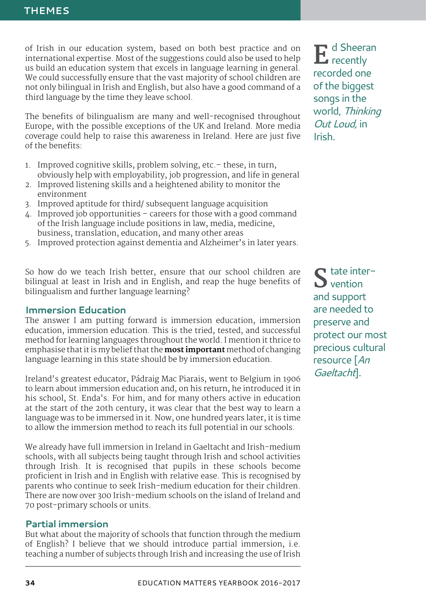of Irish in our education system, based on both best practice and on international expertise. Most of the suggestions could also be used to help us build an education system that excels in language learning in general. We could successfully ensure that the vast majority of school children are not only bilingual in Irish and English, but also have a good command of a third language by the time they leave school.

The benefits of bilingualism are many and well-recognised throughout Europe, with the possible exceptions of the UK and Ireland. More media coverage could help to raise this awareness in Ireland. Here are just five of the benefits:

- 1. Improved cognitive skills, problem solving, etc.– these, in turn, obviously help with employability, job progression, and life in general
- 2. Improved listening skills and a heightened ability to monitor the environment
- 3. Improved aptitude for third/ subsequent language acquisition
- 4. Improved job opportunities careers for those with a good command of the Irish language include positions in law, media, medicine, business, translation, education, and many other areas
- 5. Improved protection against dementia and Alzheimer's in later years.

So how do we teach Irish better, ensure that our school children are bilingual at least in Irish and in English, and reap the huge benefits of bilingualism and further language learning?

#### **Immersion Education**

The answer I am putting forward is immersion education, immersion education, immersion education. This is the tried, tested, and successful method for learning languages throughout the world. I mention it thrice to emphasise that it is my belief that the **most important** method of changing language learning in this state should be by immersion education.

Ireland's greatest educator, Pádraig Mac Piarais, went to Belgium in 1906 to learn about immersion education and, on his return, he introduced it in his school, St. Enda's. For him, and for many others active in education at the start of the 20th century, it was clear that the best way to learn a language was to be immersed in it. Now, one hundred years later, it is time to allow the immersion method to reach its full potential in our schools.

We already have full immersion in Ireland in Gaeltacht and Irish-medium schools, with all subjects being taught through Irish and school activities through Irish. It is recognised that pupils in these schools become proficient in Irish and in English with relative ease. This is recognised by parents who continue to seek Irish-medium education for their children. There are now over 300 Irish-medium schools on the island of Ireland and 70 post-primary schools or units.

#### **Partial immersion**

But what about the majority of schools that function through the medium of English? I believe that we should introduce partial immersion, i.e. teaching a number of subjects through Irish and increasing the use of Irish

 $\mathbf{E}$  d Sheeran recently recorded one of the biggest songs in the world, *Thinking Out Loud,* in Irish.

 $\Gamma$  tate intervention and support are needed to preserve and protect our most precious cultural resource [*An Gaeltacht*].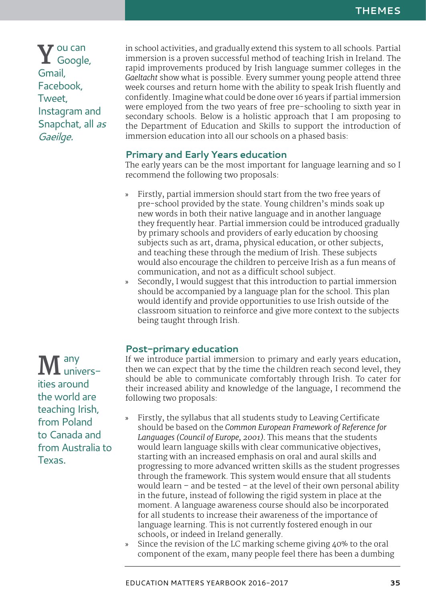**Y**ou can Google, Gmail, Facebook, Tweet, Instagram and Snapchat, all *as Gaeilge.*

in school activities, and gradually extend this system to all schools. Partial immersion is a proven successful method of teaching Irish in Ireland. The rapid improvements produced by Irish language summer colleges in the *Gaeltacht* show what is possible. Every summer young people attend three week courses and return home with the ability to speak Irish fluently and confidently. Imagine what could be done over 16 years if partial immersion were employed from the two years of free pre-schooling to sixth year in secondary schools. Below is a holistic approach that I am proposing to the Department of Education and Skills to support the introduction of immersion education into all our schools on a phased basis:

# **Primary and Early Years education**

The early years can be the most important for language learning and so I recommend the following two proposals:

- » Firstly, partial immersion should start from the two free years of pre-school provided by the state. Young children's minds soak up new words in both their native language and in another language they frequently hear. Partial immersion could be introduced gradually by primary schools and providers of early education by choosing subjects such as art, drama, physical education, or other subjects, and teaching these through the medium of Irish. These subjects would also encourage the children to perceive Irish as a fun means of communication, and not as a difficult school subject.
- Secondly, I would suggest that this introduction to partial immersion should be accompanied by a language plan for the school. This plan would identify and provide opportunities to use Irish outside of the classroom situation to reinforce and give more context to the subjects being taught through Irish.

# **Post-primary education**

If we introduce partial immersion to primary and early years education, then we can expect that by the time the children reach second level, they should be able to communicate comfortably through Irish. To cater for their increased ability and knowledge of the language, I recommend the following two proposals:

- » Firstly, the syllabus that all students study to Leaving Certificate should be based on the *Common European Framework of Reference for Languages (Council of Europe, 2001).* This means that the students would learn language skills with clear communicative objectives, starting with an increased emphasis on oral and aural skills and progressing to more advanced written skills as the student progresses through the framework. This system would ensure that all students would learn – and be tested – at the level of their own personal ability in the future, instead of following the rigid system in place at the moment. A language awareness course should also be incorporated for all students to increase their awareness of the importance of language learning. This is not currently fostered enough in our schools, or indeed in Ireland generally.
- Since the revision of the LC marking scheme giving 40% to the oral component of the exam, many people feel there has been a dumbing

**M** any ities around the world are teaching Irish, from Poland to Canada and from Australia to Texas.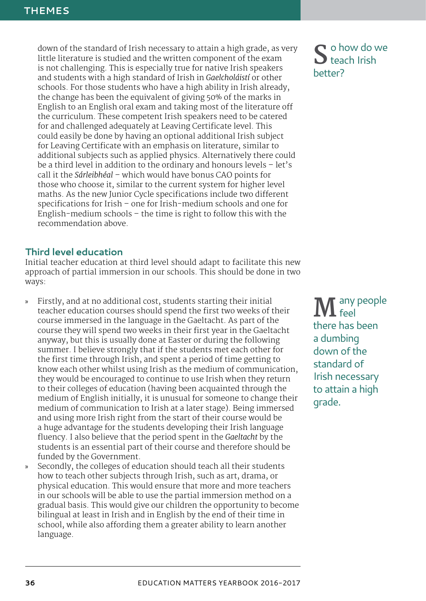down of the standard of Irish necessary to attain a high grade, as very little literature is studied and the written component of the exam is not challenging. This is especially true for native Irish speakers and students with a high standard of Irish in *Gaelcholáistí* or other schools. For those students who have a high ability in Irish already, the change has been the equivalent of giving 50% of the marks in English to an English oral exam and taking most of the literature off the curriculum. These competent Irish speakers need to be catered for and challenged adequately at Leaving Certificate level. This could easily be done by having an optional additional Irish subject for Leaving Certificate with an emphasis on literature, similar to additional subjects such as applied physics. Alternatively there could be a third level in addition to the ordinary and honours levels – let's call it the *Sárleibhéal* – which would have bonus CAO points for those who choose it, similar to the current system for higher level maths. As the new Junior Cycle specifications include two different specifications for Irish – one for Irish-medium schools and one for English-medium schools – the time is right to follow this with the recommendation above.

## **Third level education**

Initial teacher education at third level should adapt to facilitate this new approach of partial immersion in our schools. This should be done in two ways:

- » Firstly, and at no additional cost, students starting their initial teacher education courses should spend the first two weeks of their course immersed in the language in the Gaeltacht. As part of the course they will spend two weeks in their first year in the Gaeltacht anyway, but this is usually done at Easter or during the following summer. I believe strongly that if the students met each other for the first time through Irish, and spent a period of time getting to know each other whilst using Irish as the medium of communication, they would be encouraged to continue to use Irish when they return to their colleges of education (having been acquainted through the medium of English initially, it is unusual for someone to change their medium of communication to Irish at a later stage). Being immersed and using more Irish right from the start of their course would be a huge advantage for the students developing their Irish language fluency. I also believe that the period spent in the *Gaeltacht* by the students is an essential part of their course and therefore should be funded by the Government.
- Secondly, the colleges of education should teach all their students how to teach other subjects through Irish, such as art, drama, or physical education. This would ensure that more and more teachers in our schools will be able to use the partial immersion method on a gradual basis. This would give our children the opportunity to become bilingual at least in Irish and in English by the end of their time in school, while also affording them a greater ability to learn another language.

**S**o how do we teach Irish better?

M any people feel there has been a dumbing down of the standard of Irish necessary to attain a high grade.